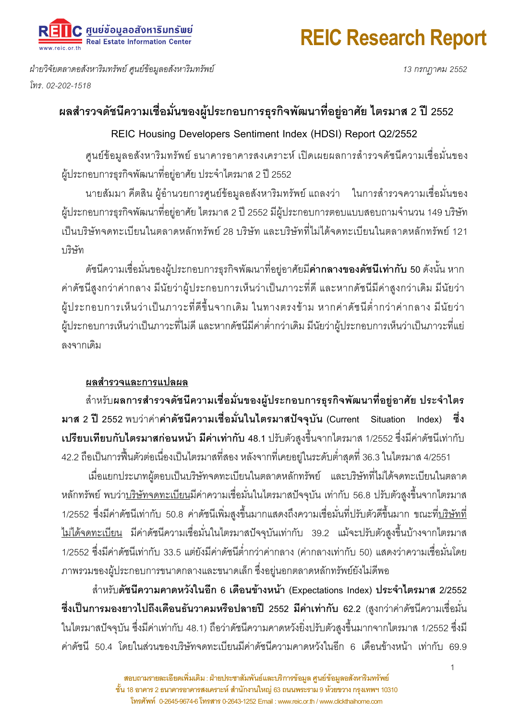## REIC Research Report

) ศูนย์ข้อมูลอสังหาริมทรัพย์<br>= Real Estate Information Center

ฝ่ายวิจัยตลาดอสังหาริมทรัพย์ ศูนย์ข้อมูลอสังหาริมทรัพย์ . 02-202-1518

13 กรกฎาคม 2552

### ผลสำรวจดัชนีความเชื่อมั่นของผู้ประกอบการธุรกิจพัฒนาที่อยู่อาศัย ไตรมาส 2 ปี 2552

#### REIC Housing Developers Sentiment Index (HDSI) Report Q2/2552

ศูนย์ข้อมูลอสังหาริมทรัพย์ ธนาคารอาคารสงเคราะห์ เปิดเผยผลการสำรวจดัชนีความเชื่อมั่นของ ผู้ประกอบการธุรกิจพัฒนาที่อยู่อาศัย ประจำไตรมาส 2 ปี 2552

นายสัมมา คีตสิน ผู้อำนวยการศูนย์ข้อมูลอสังหาริมทรัพย์ แถลงว่า ในการสำรวจความเชื่อมั่นของ ผู้ประกอบการธุรกิจพัฒนาที่อยู่อาศัย ไตรมาส 2 ปี 2552 มีผู้ประกอบการตอบแบบสอบถามจำนวน 149 บริษัท เป็นบริษัทจดทะเบียนในตลาดหลักทรัพย์ 28 บริษัท และบริษัทที่ไม่ได้จดทะเบียนในตลาดหลักทรัพย์ 121 <u> ๆ เริงจั</u>ท

ดัชนีความเชื่อมั่นของผู้ประกอบการธุรกิจพัฒนาที่อยู่อาศัยมี**ค่ากลางของดัชนีเท่ากับ 50** ดังนั้น หาก ค่าดัชนีสูงกว่าค่ากลาง มีนัยว่าผู้ประกอบการเห็นว่าเป็นภาวะที่ดี และหากดัชนีมีค่าสูงกว่าเดิม มีนัยว่า ผู้ประกอบการเห็นว่าเป็นภาวะที่ดีขึ้นจากเดิม ในทางตรงข้าม หากค่าดัชนีต่ำกว่าค่ากลาง มีนัยว่า ผู้ประกอบการเห็นว่าเป็นภาวะที่ไม่ดี และหากดัชนีมีค่าต่ำกว่าเดิม มีนัยว่าผู้ประกอบการเห็นว่าเป็นภาวะที่แย่ ลงจากเดิม

### ผลสำรวจและการแปลผล

สำหรับผลการสำรวจดัชนีความเชื่อมั่นของผู้ประกอบการธุรกิจพัฒนาที่อยู่อาศัย ประจำไตร มาส 2 ปี 2552 พบว่าค่าค้าดัชนีความเชื่อมั่นในไตรมาสปัจจุบัน (Current Situation Index) ซึ่ง **เปรียบเทียบกับไตรมาสก่อนหน้า มีค่าเท่ากับ 48**.1 ปรับตัวสูงขึ้นจากไตรมาส 1/2552 ซึ่งมีค่าดัชนีเท่ากับ

42.2 ถือเป็นการฟื้นตัวต่อเนื่องเป็นไตรมาสที่สอง หลังจากที่เคยอยู่ในระดับต่ำสุดที่ 36.3 ในไตรมาส 4/2551 | ้ เมื่อแยกประเภทผู้ตอบเป็นบริษัทจดทะเบียนในตลาดหลักทรัพย์ และบริษัทที่ไม่ได้จดทะเบียนในตลาด หลักทรัพย์ พบว่า<u>บริษัทจดทะเบียน</u>มีค่าความเชื่อมั่นในไตรมาสปัจจุบัน เท่ากับ 56.8 ปรับตัวสูงขึ้นจากไตรมาส 1/2552 ซึ่งมีค่าดัชนีเท่ากับ 50.8 ค่าดัชนีเพิ่มสูงขึ้นมากแสดงถึงความเชื่อมั่นที่ปรับตัวดีขึ้นมาก ขณะที่<u>บริษัทที่</u> <u>ไม่ได้จดทะเบียน</u> มีค่าดัชนีความเชื่อมั่นในไตรมาสปัจจุบันเท่ากับ 39.2 แม้จะปรับตัวสูงขึ้นบ้างจากไตรมาส 1/2552 ซึ่งมีค่าดัชนีเท่ากับ 33.5 แต่ยังมีค่าดัชนีต่ำกว่าค่ากลาง (ค่ากลางเท่ากับ 50) แสดงว่าความเชื่อมั่นโดย ภาพรวมของผู้ประกอบการขนาดกลางและขนาดเล็ก ซึ่งอยู่นอกตลาดหลักทรัพย์ยังไม่ดีพอ

สำหรับ<mark>ดัชนีความคาดหวังในอีก 6 เดือนข้างหน้า</mark> (Expectations Index) ประจ<mark>ำไตรมาส</mark> 2/2552 ซึ่งเป็นการมองยาวไปถึงเดือนธันวาคมหรือปลายปี 2552 มีค่าเท่ากับ 62.2 (สูงกว่าค่าดัชนีความเชื่อมั่น ในไตรมาสปัจจุบัน ซึ่งมีค่าเท่ากับ 48.1) ถือว่าดัชนีความคาดหวังยิ่งปรับตัวสูงขึ้นมากจากไตรมาส 1/2552 ซึ่งมี ค่าดัชนี 50.4 โดยในส่วนของบริษัทจดทะเบียนมีค่าดัชนีความคาดหวังในอีก 6 เดือนข้างหน้า เท่ากับ 69.9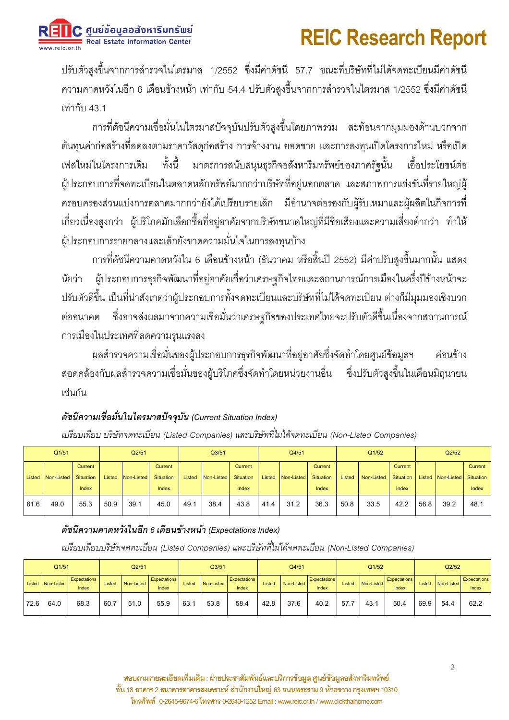2 ศูนย์ข้อมูลอสังหาริมทรัพย์<br>= Real Estate Information Center

# **REIC Research Report**

ปรับตัวสูงขึ้นจากการสำรวจในไตรมาส 1/2552 ซึ่งมีค่าดัชนี 57.7 ขณะที่บริษัทที่ไม่ได้จดทะเบียนมีค่าดัชนี ี ความคาดหวังในอีก 6 เดือนข้างหน้า เท่ากับ 54.4 ปรับตัวสูงขึ้นจากการสำรวจในไตรมาส 1/2552 ซึ่งมีค่าดัชนี เท่ากับ 43.1

้การที่ดัชนีความเชื่อมั่นในไตรมาสปัจจุบันปรับตัวสูงขึ้นโดยภาพรวม สะท้อนจากมุมมองด้านบวกจาก ้ต้นทนค่าก่อสร้างที่ลดลงตามราคาวัสดุก่อสร้าง การจ้างงาน ยอดขาย และการลงทุนเปิดโครงการใหม่ หรือเปิด ทั้งนี้ มาตรการสนับสนุนธุรกิจอสังหาริมทรัพย์ของภาครัฐนั้น เฟสใหม่ในโครงการเดิม เอื้อประโยชน์ต่อ ้ผู้ประกอบการที่จดทะเบียนในตลาดหลักทรัพย์มากกว่าบริษัทที่อยู่นอกตลาด และสภาพการแข่งขันที่รายใหญ่ผู้ ิ ครอบครองส่วนแบ่งการตลาดมากกว่ายังได้เปรียบรายเล็ก มีอำนาจต่อรองกับผู้รับเหมาและผู้ผลิตในกิจการที่ ้เกี่ยวเนื่องสูงกว่า ผู้บริโภคมักเลือกซื้อที่อยู่อาศัยจากบริษัทขนาดใหญ่ที่มีชื่อเสียงและความเสี่ยงต่ำกว่า ทำให้ ผู้ประกอบการรายกลางและเล็กยังขาดความมั่นใจในการลงทุนบ้าง

ึการที่ดัชนีความคาดหวังใน 6 เดือนข้างหน้า (ธันวาคม หรือสิ้นปี 2552) มีค่าปรับสูงขึ้นมากนั้น แสดง ้ผู้ประกอบการธุรกิจพัฒนาที่อยู่อาศัยเชื่อว่าเศรษฐกิจไทยและสถานการณ์การเมืองในครึ่งปีข้างหน้าจะ นัยว่า ปรับตัวดีขึ้น เป็นที่น่าสังเกตว่าผู้ประกอบการทั้งจดทะเบียนและบริษัทที่ไม่ได้จดทะเบียน ต่างก็มีมุมมองเชิงบวก ้ต่ออนาคต ซึ่งอาจส่งผลมาจากความเชื่อมั่นว่าเศรษฐกิจของประเทศไทยจะปรับตัวดีขึ้นเนื่องจากสถานการณ์ การเมืองในประเทศที่ลดความรุนแรงลง

ผลสำรวจความเชื่อมั่นของผู้ประกอบการธุรกิจพัฒนาที่อยู่อาศัยซึ่งจัดทำโดยศูนย์ข้อมูลฯ ค่คนข้าง สอดคล้องกับผลสำรวจความเชื่อมั่นของผู้บริโภคซึ่งจัดทำโดยหน่วยงานอื่น ซึ่งปรับตัวสูงขึ้นในเดือนมิถุนายน เช่นกัน

#### ดัชนีความเชื่อมั่นในไตรมาสปัจจบัน (Current Situation Index)

| Q1/51 |                     |                             | Q <sub>2/51</sub> |            |                             | Q3/51  |            |                      | Q4/51  |            |                      | Q1/52  |            |                      | Q <sub>2/52</sub> |                             |         |
|-------|---------------------|-----------------------------|-------------------|------------|-----------------------------|--------|------------|----------------------|--------|------------|----------------------|--------|------------|----------------------|-------------------|-----------------------------|---------|
|       | Listed   Non-Listed | Current<br><b>Situation</b> | Listed            | Non-Listed | <b>Current</b><br>Situation | Listed | Non-Listed | Current<br>Situation | Listed | Non-Listed | Current<br>Situation | Listed | Non-Listed | Current<br>Situation |                   | Listed Non-Listed Situation | Current |
|       |                     | Index                       |                   |            | Index                       |        |            | Index                |        |            | Index                |        |            | Index                |                   |                             | Index   |
| 61.6  | 49.0                | 55.3                        | 50.9              | 39.1       | 45.0                        | 49.1   | 38.4       | 43.8                 | 41.4   | 31.2       | 36.3                 | 50.8   | 33.5       | 42.2                 | 56.8              | 39.2                        | 48.7    |

เปรียบเทียบ บริษัทจดทะเบียน (Listed Companies) และบริษัทที่ไม่ได้จดทะเบียน (Non-Listed Companies)

#### ดัชนีความคาดหวังในอีก 6 เดือนข้างหน้า (Expectations Index)

เปรียบเทียบบริษัทจดทะเบียน (Listed Companies) และบริษัทที่ไม่ได้จดทะเบียน (Non-Listed Companies)

| Q1/51 |                   |                       | Q2/51  |            |                              | Q <sub>3/51</sub> |            |                              | Q4/51  |            |                       | Q1/52  |            |                              | Q2/52 |                   |                       |
|-------|-------------------|-----------------------|--------|------------|------------------------------|-------------------|------------|------------------------------|--------|------------|-----------------------|--------|------------|------------------------------|-------|-------------------|-----------------------|
|       | Listed Non-Listed | Expectations<br>Index | Listed | Non-Listed | <b>Expectations</b><br>Index | Listed            | Non-Listed | <b>Expectations</b><br>Index | Listed | Non-Listed | Expectations<br>Index | Listed | Non-Listed | <b>Expectations</b><br>Index |       | Listed Non-Listed | Expectations<br>Index |
| 72.6  | 64.0              | 68.3                  | 60.    | 51.0       | 55.9                         | 63.1              | 53.8       | 58.4                         | 42.8   | 37.6       | 40.2                  | 57.7   | 43.1       | 50.4                         | 69.9  | 54.4              | 62.2                  |